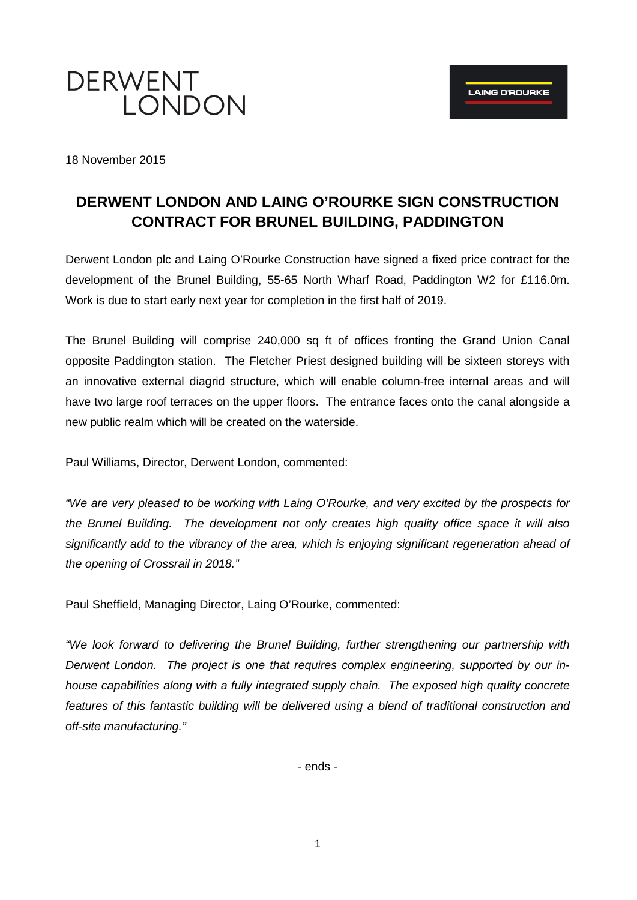

18 November 2015

# **DERWENT LONDON AND LAING O'ROURKE SIGN CONSTRUCTION CONTRACT FOR BRUNEL BUILDING, PADDINGTON**

Derwent London plc and Laing O'Rourke Construction have signed a fixed price contract for the development of the Brunel Building, 55-65 North Wharf Road, Paddington W2 for £116.0m. Work is due to start early next year for completion in the first half of 2019.

The Brunel Building will comprise 240,000 sq ft of offices fronting the Grand Union Canal opposite Paddington station. The Fletcher Priest designed building will be sixteen storeys with an innovative external diagrid structure, which will enable column-free internal areas and will have two large roof terraces on the upper floors. The entrance faces onto the canal alongside a new public realm which will be created on the waterside.

Paul Williams, Director, Derwent London, commented:

*"We are very pleased to be working with Laing O'Rourke, and very excited by the prospects for the Brunel Building. The development not only creates high quality office space it will also significantly add to the vibrancy of the area, which is enjoying significant regeneration ahead of the opening of Crossrail in 2018."*

Paul Sheffield, Managing Director, Laing O'Rourke, commented:

*"We look forward to delivering the Brunel Building, further strengthening our partnership with Derwent London. The project is one that requires complex engineering, supported by our inhouse capabilities along with a fully integrated supply chain. The exposed high quality concrete features of this fantastic building will be delivered using a blend of traditional construction and off-site manufacturing."*

- ends -